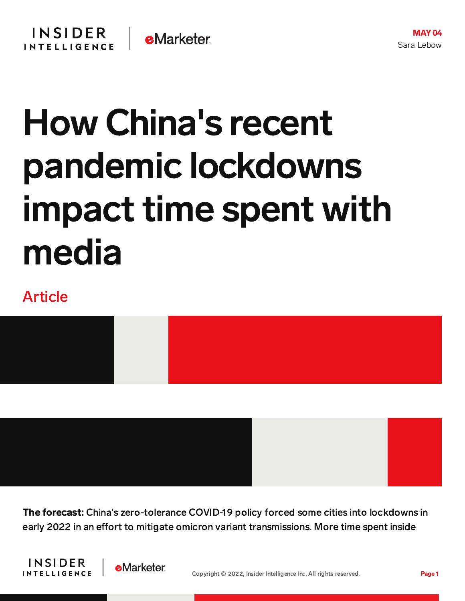## How China's recent pandemic lockdowns impact time spent with media

## Article



The forecast: China's zero-tolerance COVID-19 policy forced some cities into lockdowns in early 2022 in an effort to mitigate omicron variant transmissions. More time spent inside